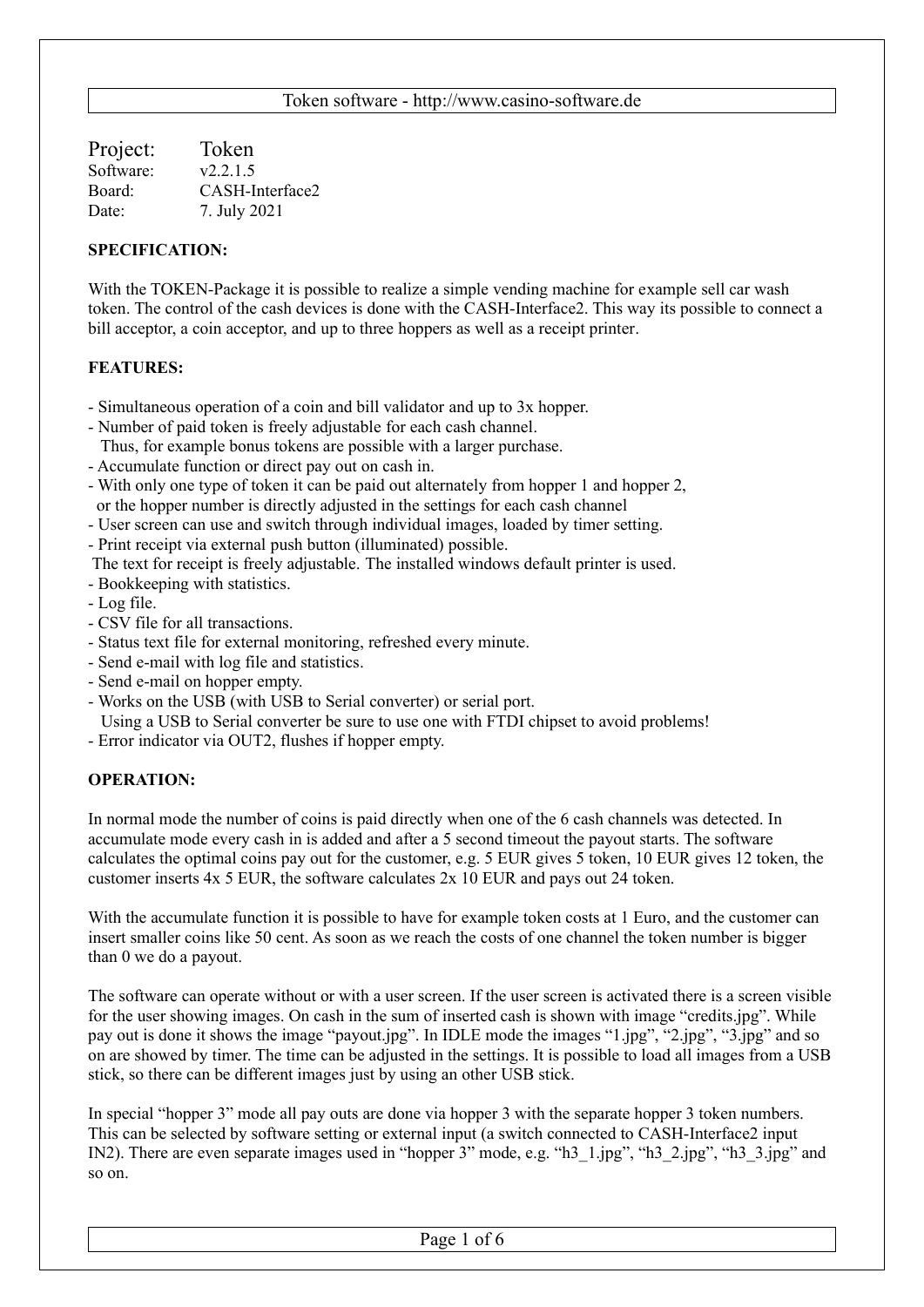| Token           |
|-----------------|
| v2.2.1.5        |
| CASH-Interface2 |
| 7. July 2021    |
|                 |

### **SPECIFICATION:**

With the TOKEN-Package it is possible to realize a simple vending machine for example sell car wash token. The control of the cash devices is done with the CASH-Interface2. This way its possible to connect a bill acceptor, a coin acceptor, and up to three hoppers as well as a receipt printer.

### **FEATURES:**

- Simultaneous operation of a coin and bill validator and up to 3x hopper.
- Number of paid token is freely adjustable for each cash channel.
- Thus, for example bonus tokens are possible with a larger purchase.
- Accumulate function or direct pay out on cash in.
- With only one type of token it can be paid out alternately from hopper 1 and hopper 2, or the hopper number is directly adjusted in the settings for each cash channel
- User screen can use and switch through individual images, loaded by timer setting.
- Print receipt via external push button (illuminated) possible.
- The text for receipt is freely adjustable. The installed windows default printer is used.
- Bookkeeping with statistics.
- Log file.
- CSV file for all transactions.
- Status text file for external monitoring, refreshed every minute.
- Send e-mail with log file and statistics.
- Send e-mail on hopper empty.
- Works on the USB (with USB to Serial converter) or serial port.
- Using a USB to Serial converter be sure to use one with FTDI chipset to avoid problems!
- Error indicator via OUT2, flushes if hopper empty.

#### **OPERATION:**

In normal mode the number of coins is paid directly when one of the 6 cash channels was detected. In accumulate mode every cash in is added and after a 5 second timeout the payout starts. The software calculates the optimal coins pay out for the customer, e.g. 5 EUR gives 5 token, 10 EUR gives 12 token, the customer inserts 4x 5 EUR, the software calculates 2x 10 EUR and pays out 24 token.

With the accumulate function it is possible to have for example token costs at 1 Euro, and the customer can insert smaller coins like 50 cent. As soon as we reach the costs of one channel the token number is bigger than 0 we do a payout.

The software can operate without or with a user screen. If the user screen is activated there is a screen visible for the user showing images. On cash in the sum of inserted cash is shown with image "credits.jpg". While pay out is done it shows the image "payout.jpg". In IDLE mode the images "1.jpg", "2.jpg", "3.jpg" and so on are showed by timer. The time can be adjusted in the settings. It is possible to load all images from a USB stick, so there can be different images just by using an other USB stick.

In special "hopper 3" mode all pay outs are done via hopper 3 with the separate hopper 3 token numbers. This can be selected by software setting or external input (a switch connected to CASH-Interface2 input IN2). There are even separate images used in "hopper 3" mode, e.g. "h3\_1.jpg", "h3\_2.jpg", "h3\_3.jpg" and so on.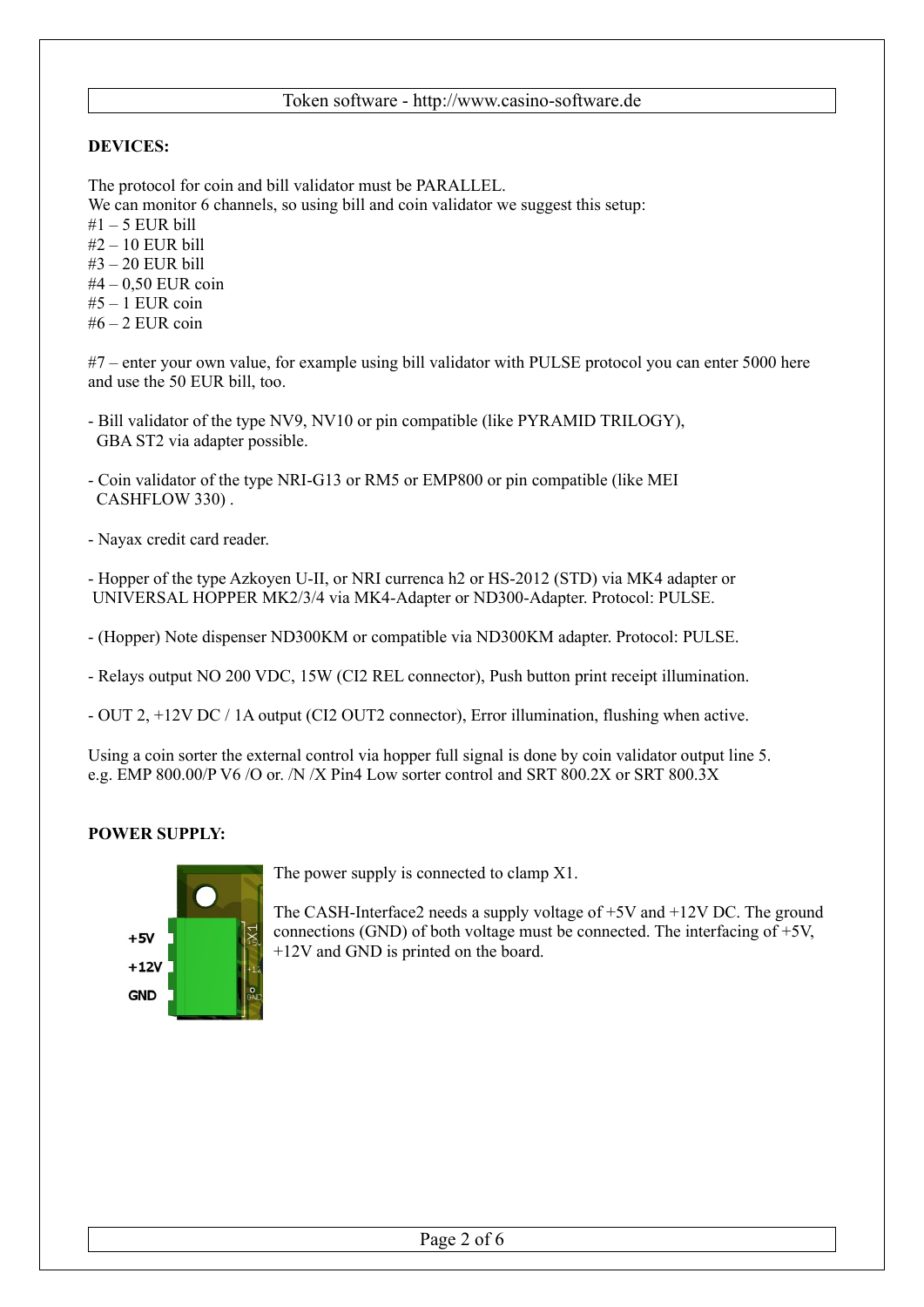## **DEVICES:**

The protocol for coin and bill validator must be PARALLEL.

We can monitor 6 channels, so using bill and coin validator we suggest this setup:

- $#1 5$  EUR bill
- #2 10 EUR bill
- #3 20 EUR bill
- #4 0,50 EUR coin
- $#5 1$  EUR coin
- $#6 2$  EUR coin

#7 – enter your own value, for example using bill validator with PULSE protocol you can enter 5000 here and use the 50 EUR bill, too.

- Bill validator of the type NV9, NV10 or pin compatible (like PYRAMID TRILOGY), GBA ST2 via adapter possible.
- Coin validator of the type NRI-G13 or RM5 or EMP800 or pin compatible (like MEI CASHFLOW 330) .
- Nayax credit card reader.
- Hopper of the type Azkoyen U-II, or NRI currenca h2 or HS-2012 (STD) via MK4 adapter or UNIVERSAL HOPPER MK2/3/4 via MK4-Adapter or ND300-Adapter. Protocol: PULSE.

- (Hopper) Note dispenser ND300KM or compatible via ND300KM adapter. Protocol: PULSE.

- Relays output NO 200 VDC, 15W (CI2 REL connector), Push button print receipt illumination.

- OUT 2, +12V DC / 1A output (CI2 OUT2 connector), Error illumination, flushing when active.

Using a coin sorter the external control via hopper full signal is done by coin validator output line 5. e.g. EMP 800.00/P V6 /O or. /N /X Pin4 Low sorter control and SRT 800.2X or SRT 800.3X

# **POWER SUPPLY:**



The power supply is connected to clamp X1.

The CASH-Interface2 needs a supply voltage of +5V and +12V DC. The ground connections (GND) of both voltage must be connected. The interfacing of  $+5V$ , +12V and GND is printed on the board.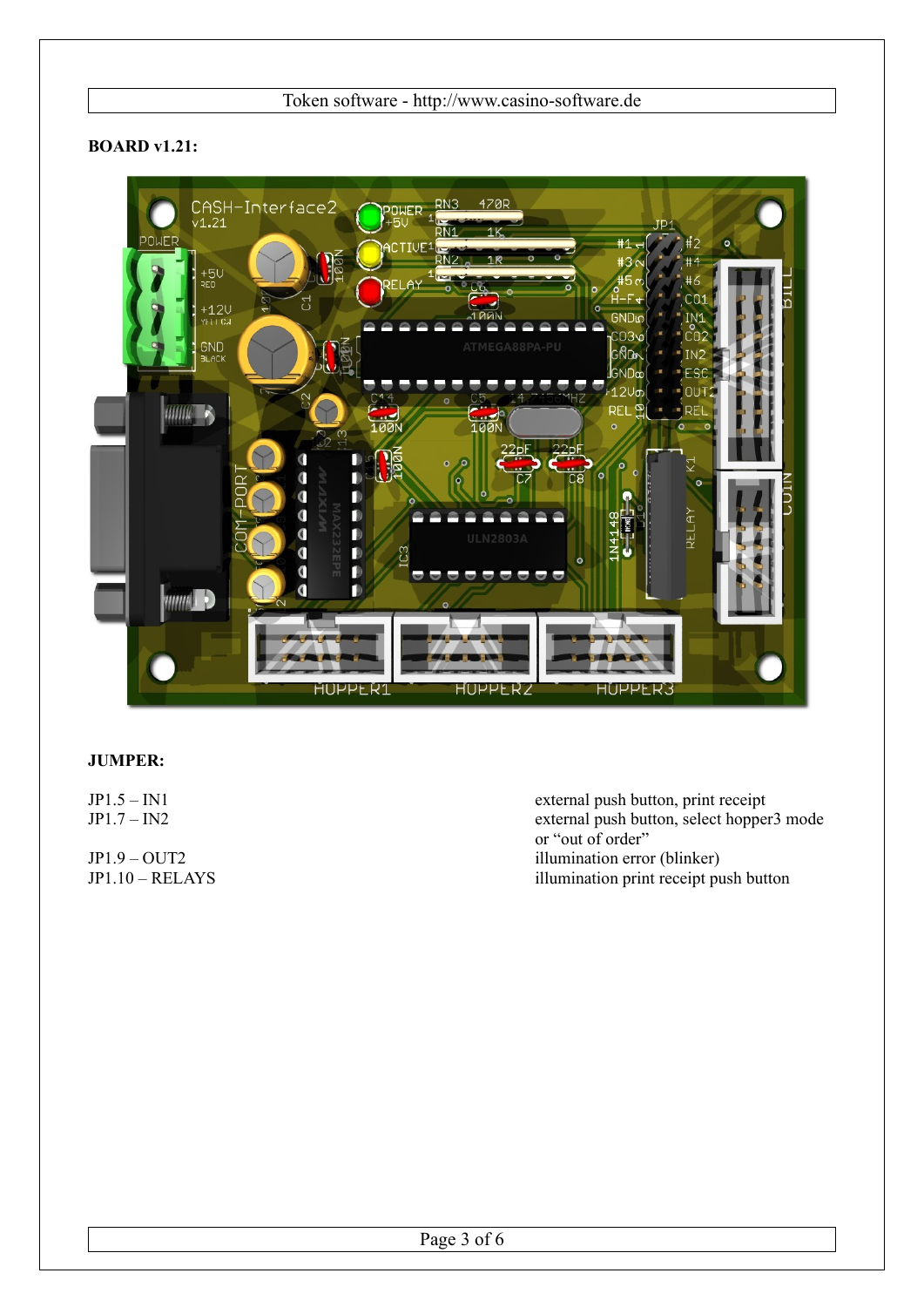# **BOARD v1.21:**



## **JUMPER:**

JP1.5 – IN1 external push button, print receipt JP1.7 – IN2 external push button, select hopper3 mode or "out of order" JP1.9 – OUT2<br>JP1.10 – RELAYS<br>illumination error (blinker)<br>illumination error (blinker) illumination print receipt push button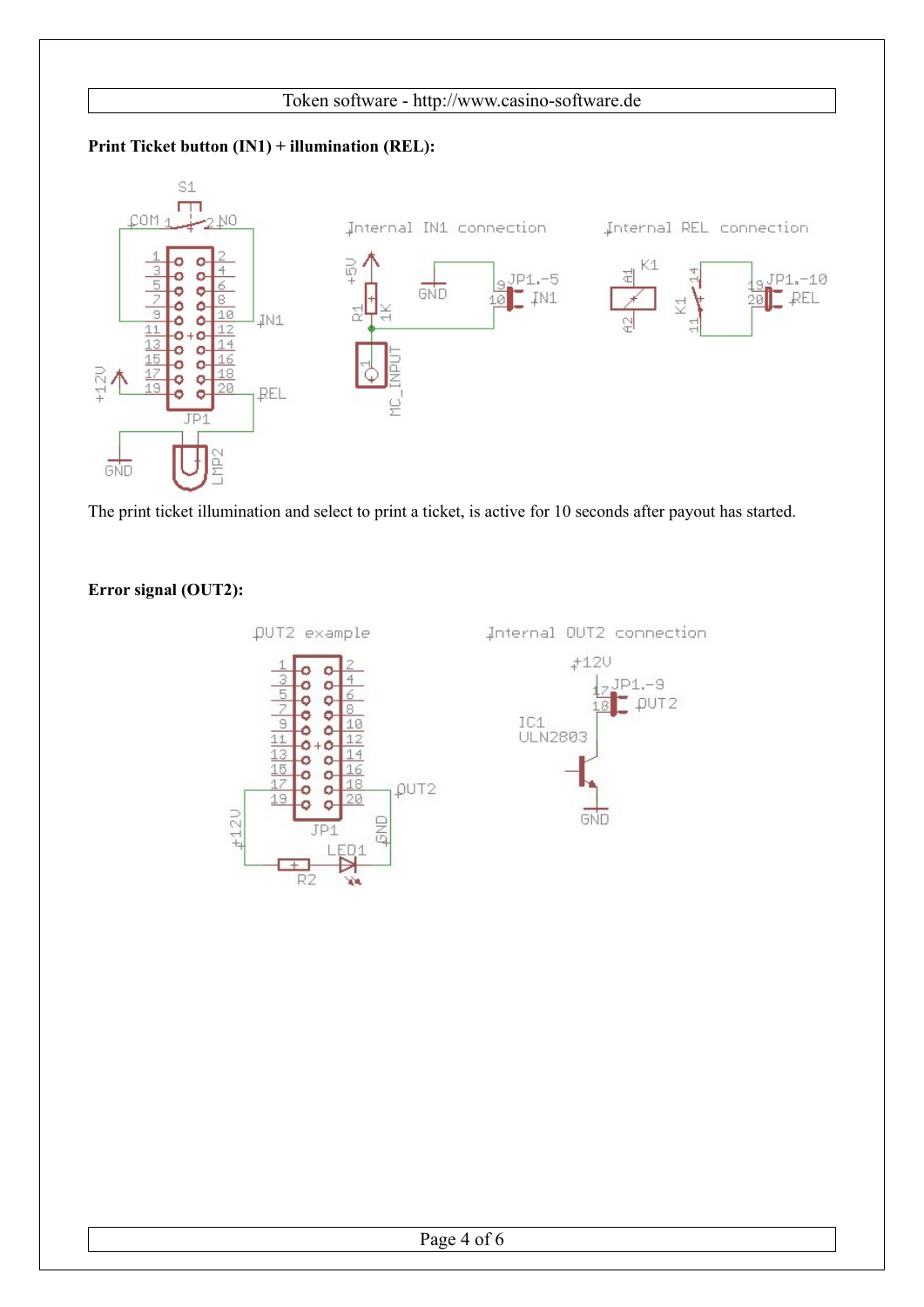# **Print Ticket button (IN1) + illumination (REL):**



The print ticket illumination and select to print a ticket, is active for 10 seconds after payout has started.

# **Error signal (OUT2):**



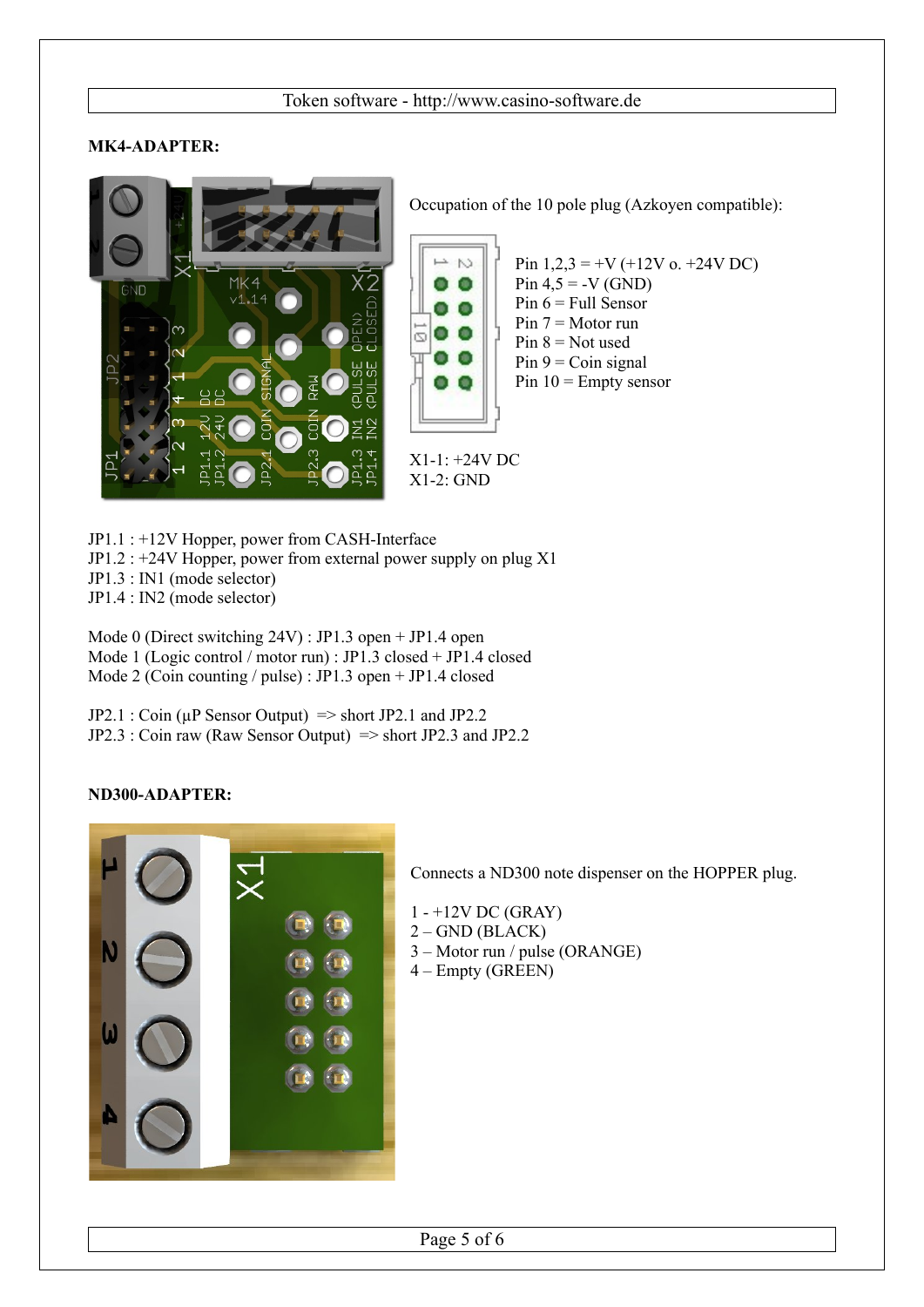# **MK4-ADAPTER:**



Occupation of the 10 pole plug (Azkoyen compatible):

 $\mathbb{N}$  $0<0$ Θ Ω  $\bullet$ m

X1-1: +24V DC X1-2: GND

Pin  $1,2,3 = +V (+12V)$  o.  $+24V$  DC  $Pin 4,5 = -V (GND)$ Pin  $6$  = Full Sensor Pin  $7 =$  Motor run Pin  $8 = Not$  used  $Pin 9 = Coin$  signal Pin  $10$  = Empty sensor

JP1.1 : +12V Hopper, power from CASH-Interface JP1.2 : +24V Hopper, power from external power supply on plug X1 JP1.3 : IN1 (mode selector) JP1.4 : IN2 (mode selector)

Mode 0 (Direct switching 24V) : JP1.3 open + JP1.4 open Mode 1 (Logic control / motor run) : JP1.3 closed + JP1.4 closed Mode 2 (Coin counting / pulse) : JP1.3 open + JP1.4 closed

 $JP2.1: Coin (µP Sensor Output) \Rightarrow short JP2.1 and JP2.2$ JP2.3 : Coin raw (Raw Sensor Output) => short JP2.3 and JP2.2

## **ND300-ADAPTER:**



Connects a ND300 note dispenser on the HOPPER plug.

- 1 +12V DC (GRAY)
- $2 -$ GND (BLACK)
- 3 Motor run / pulse (ORANGE)
- 4 Empty (GREEN)